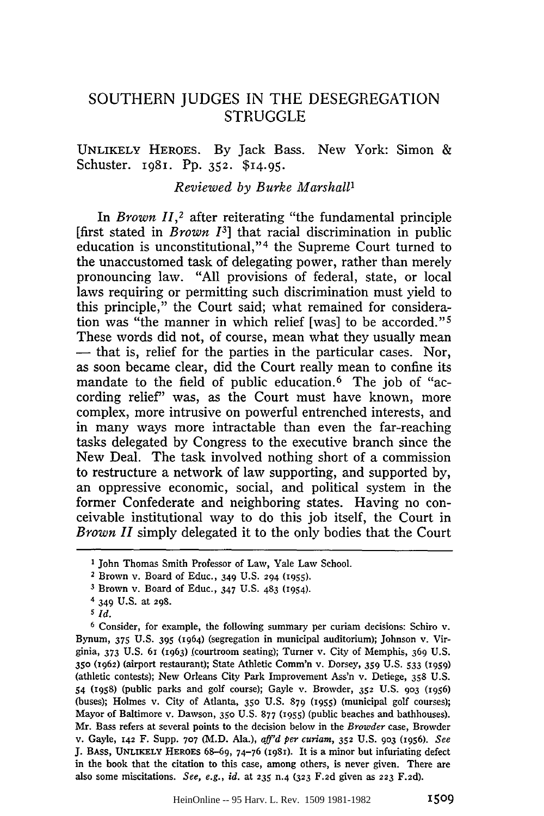## **SOUTHERN JUDGES** IN THE **DESEGREGATION** STRUGGLE

## UNLIKELY HEROES. By Jack Bass. New York: Simon & Schuster. 1981. Pp. 352. \$14.95.

## *Reviewed by Burke Marshall1*

In *Brown 11,2* after reiterating "the fundamental principle [first stated in *Brown 13]* that racial discrimination in public education is unconstitutional,"<sup>4</sup> the Supreme Court turned to the unaccustomed task of delegating power, rather than merely pronouncing law. "All provisions of federal, state, or local laws requiring or permitting such discrimination must yield to this principle," the Court said; what remained for consideration was "the manner in which relief [was] to be accorded."<sup>5</sup> These words did not, of course, mean what they usually mean **-** that is, relief for the parties in the particular cases. Nor, as soon became clear, did the Court really mean to confine its mandate to the field of public education.<sup>6</sup> The job of "according relief" was, as the Court must have known, more complex, more intrusive on powerful entrenched interests, and in many ways more intractable than even the far-reaching tasks delegated by Congress to the executive branch since the New Deal. The task involved nothing short of a commission to restructure a network of law supporting, and supported by, an oppressive economic, social, and political system in the former Confederate and neighboring states. Having no conceivable institutional way to do this job itself, the Court in *Brown II* simply delegated it to the only bodies that the Court

**I** John Thomas Smith Professor of Law, Yale Law School.

<sup>2</sup> Brown v. Board of Educ., 349 U.S. **294 (i955).**

**<sup>3</sup>** Brown v. Board of Educ., 347 U.S. 483 (I954).

<sup>4 349</sup> U.S. at **298.**

*<sup>5</sup> Id.*

**<sup>6</sup>** Consider, for example, the following summary per curiam decisions: Schiro v. Bynum, **375** U.S. 395 (1964) (segregation in municipal auditorium); Johnson v. Virginia, 373 U.S. 61 (1963) (courtroom seating); Turner v. City of Memphis, 369 U.S. **350 (z962)** (airport restaurant); State Athletic Comm'n v. Dorsey, 359 U.S. 533 (i959) (athletic contests); New Orleans City Park Improvement Ass'n v. Detiege, 358 U.S. 54 (1958) (public parks and golf course); Gayle v. Browder, **352** U.S. 903 (1956) (buses); Holmes v. City of Atlanta, **350** U.S. 879 (1955) (municipal golf courses); Mayor of Baltimore v. Dawson, **350** U.S. 877 (1955) (public beaches and bathhouses). Mr. Bass refers at several points to the decision below in the *Browder* case, Browder v. Gayle, 142 F. Supp. 707 (M.D. Ala.), *aff'd per curiam,* **352 U.S. 903 (1956).** *See* J. BAss, **UNLIKELY** HEROES 68-69, 74-76 (i98i). It is a minor but infuriating defect in the book that the citation to this case, among others, is never given. There are also some miscitations. *See, e.g., id.* at **235** n.4 **(323** F.2d given as **223** F.2d).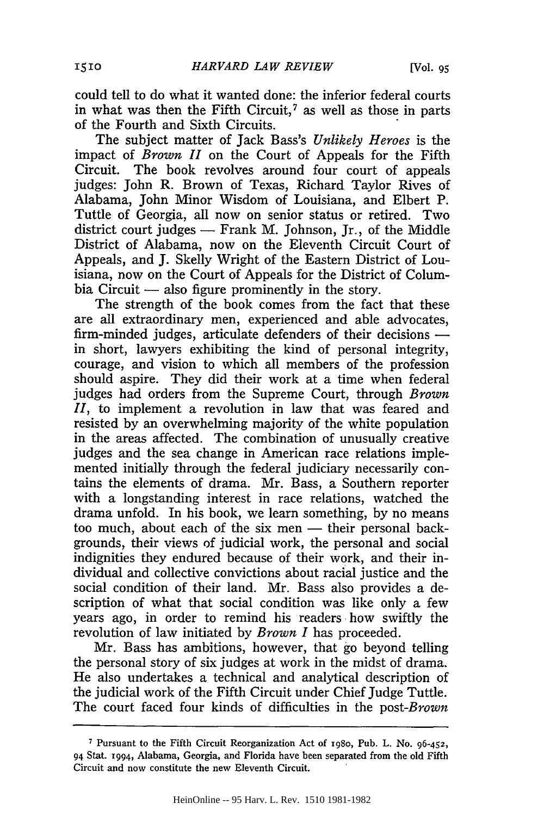could tell to do what it wanted done: the inferior federal courts in what was then the Fifth Circuit, $7$  as well as those in parts of the Fourth and Sixth Circuits.

The subject matter of Jack Bass's *Unlikely Heroes* is the impact of *Brown II* on the Court of Appeals for the Fifth Circuit. The book revolves around four court of appeals judges: John R. Brown of Texas, Richard Taylor Rives of Alabama, John Minor Wisdom of Louisiana, and Elbert P. Tuttle of Georgia, all now on senior status or retired. Two district court judges **-** Frank M. Johnson, Jr., of the Middle District of Alabama, now on the Eleventh Circuit Court of Appeals, and J. Skelly Wright of the Eastern District of Louisiana, now on the Court of Appeals for the District of Columbia Circuit **-** also figure prominently in the story.

The strength of the book comes from the fact that these are all extraordinary men, experienced and able advocates, firm-minded judges, articulate defenders of their decisions  in short, lawyers exhibiting the kind of personal integrity, courage, and vision to which all members of the profession should aspire. They did their work at a time when federal judges had orders from the Supreme Court, through *Brown II,* to implement a revolution in law that was feared and resisted by an overwhelming majority of the white population in the areas affected. The combination of unusually creative judges and the sea change in American race relations implemented initially through the federal judiciary necessarily contains the elements of drama. Mr. Bass, a Southern reporter with a longstanding interest in race relations, watched the drama unfold. In his book, we learn something, by no means too much, about each of the six men - their personal backgrounds, their views of judicial work, the personal and social indignities they endured because of their work, and their individual and collective convictions about racial justice and the social condition of their land. Mr. Bass also provides a description of what that social condition was like only a few years ago, in order to remind his readers how swiftly the revolution of law initiated by *Brown I* has proceeded.

Mr. Bass has ambitions, however, that go beyond telling the personal story of six judges at work in the midst of drama. He also undertakes a technical and analytical description of the judicial work of the Fifth Circuit under Chief Judge Tuttle. The court faced four kinds of difficulties in the *post-Brown*

**<sup>7</sup>** Pursuant to the Fifth Circuit Reorganization Act of **T98o,** Pub. L. No. 96-452, 94 Stat. 1994, Alabama, Georgia, and Florida have been separated from the old Fifth Circuit and now constitute the new Eleventh Circuit.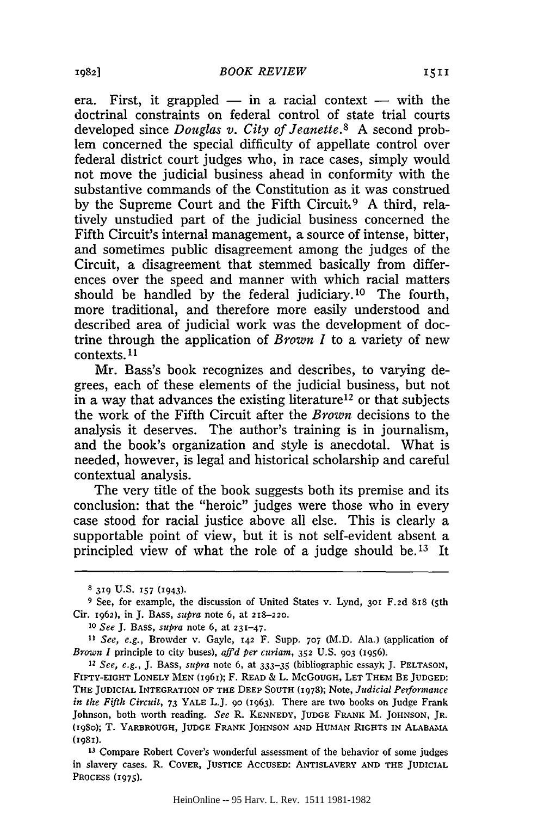era. First, it grappled  $-$  in a racial context  $-$  with the doctrinal constraints on federal control of state trial courts developed since *Douglas v. City of Jeanette.8* A second problem concerned the special difficulty of appellate control over federal district court judges who, in race cases, simply would not move the judicial business ahead in conformity with the substantive commands of the Constitution as it was construed by the Supreme Court and the Fifth Circuit.<sup>9</sup> A third, relatively unstudied part of the judicial business concerned the Fifth Circuit's internal management, a source of intense, bitter, and sometimes public disagreement among the judges of the Circuit, a disagreement that stemmed basically from differences over the speed and manner with which racial matters should be handled by the federal judiciary.<sup>10</sup> The fourth, more traditional, and therefore more easily understood and described area of judicial work was the development of doctrine through the application of *Brown I* to a variety of new contexts. **1**

Mr. Bass's book recognizes and describes, to varying degrees, each of these elements of the judicial business, but not in a way that advances the existing literature<sup>12</sup> or that subjects the work of the Fifth Circuit after the *Brown* decisions to the analysis it deserves. The author's training is in journalism, and the book's organization and style is anecdotal. What is needed, however, is legal and historical scholarship and careful contextual analysis.

The very title of the book suggests both its premise and its conclusion: that the "heroic" judges were those who in every case stood for racial justice above all else. This is clearly a supportable point of view, but it is not self-evident absent a principled view of what the role of a judge should be.<sup>13</sup> It

<sup>8</sup> **319** U.S. **157 (I943).**

**<sup>9</sup>** See, for example, the discussion of United States v. Lynd, **301** F.2d 818 (5th Cir. 1962), in **J.** BASS, *supra* note 6, at **218-220.**

*<sup>10</sup>See* J. **BASS,** *supra* note 6, at 231-47.

*<sup>11</sup> See, e.g.,* Browder v. Gayle, **142** F. Supp. **707** (M.D. Ala.) (application of *Brown I* principle to city buses), *affd per curiam,* **352** U.S. **903** (1956).

*<sup>12</sup> See, e.g.,* J. **BASS,** *supra* note 6, at 333-35 (bibliographic essay); J. PELTASON, **FIFTY-EIGHT** LONELY **MEN (196i);** F. READ **&** L. McGOUGH, LET THEM BE **JUDGED:** THE **JUDICIAL INTEGRATION OF THE DEEP SOUTH** (1978); Note, *Judicial Performance in the Fifth Circuit,* 73 YALE L.J. **9o** (1963). There are two books on judge Frank Johnson, both worth reading. *See* R. **KENNEDY, JUDGE** FRANK M. **JOHNSON,** JR. (i98o); T. YARBROUGH, **JUDGE** FRANK **JOHNSON AND HUMAN RIGHTS** IN **ALABAMA** (ig8i).

**<sup>13</sup>** Compare Robert Cover's wonderful assessment of the behavior of some judges in slavery cases. R. COVER, **JUSTICE ACCUSED: ANTISLAVERY AND THE JUDICIAL PROCESS (1975).**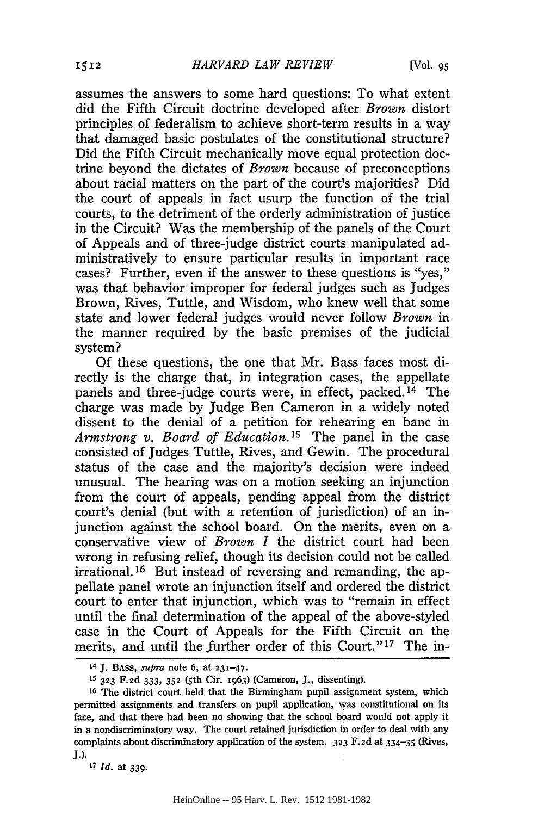assumes the answers to some hard questions: To what extent did the Fifth Circuit doctrine developed after *Brown* distort principles of federalism to achieve short-term results in a way that damaged basic postulates of the constitutional structure? Did the Fifth Circuit mechanically move equal protection doctrine beyond the dictates of *Brown* because of preconceptions about racial matters on the part of the court's majorities? Did the court of appeals in fact usurp the function of the trial courts, to the detriment of the orderly administration of justice in the Circuit? Was the membership of the panels of the Court of Appeals and of three-judge district courts manipulated administratively to ensure particular results in important race cases? Further, even if the answer to these questions is "yes," was that behavior improper for federal judges such as Judges Brown, Rives, Tuttle, and Wisdom, who knew well that some state and lower federal judges would never follow *Brown* in the manner required by the basic premises of the judicial system?

Of these questions, the one that Mr. Bass faces most directly is the charge that, in integration cases, the appellate panels and three-judge courts were, in effect, packed. 14 The charge was made by Judge Ben Cameron in a widely noted dissent to the denial of a petition for rehearing en banc in *Armstrong v. Board of Education.15* The panel in the case consisted of Judges Tuttle, Rives, and Gewin. The procedural status of the case and the majority's decision were indeed unusual. The hearing was on a motion seeking an injunction from the court of appeals, pending appeal from the district court's denial (but with a retention of jurisdiction) of an injunction against the school board. On the merits, even on a conservative view of *Brown I* the district court had been wrong in refusing relief, though its decision could not be called irrational.16 But instead of reversing and remanding, the appellate panel wrote an injunction itself and ordered the district court to enter that injunction, which was to "remain in effect until the final determination of the appeal of the above-styled case in the Court of Appeals for the Fifth Circuit on the merits, and until the further order of this Court."<sup>17</sup> The in-

<sup>14</sup>**J. BASS,** *supra* note 6, at 231-47.

<sup>&</sup>lt;sup>15</sup> 323 F.2d 333, 352 (5th Cir. 1963) (Cameron, J., dissenting).

**<sup>16</sup>**The district court held that the Birmingham pupil assignment system, which permitted assignments and transfers on pupil application, was constitutional on its face, and that there had been no showing that the school board would not apply it in a nondiscriminatory way. The court retained jurisdiction in order to deal with any complaints about discriminatory application of the system. **323** F.2d at 334-35 (Rives, **J.).** *<sup>17</sup>Id.* at 339.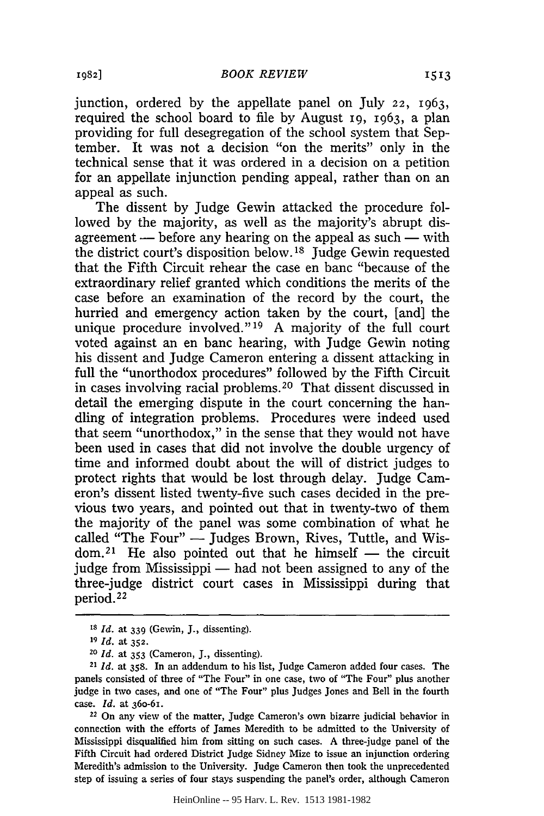junction, ordered by the appellate panel on July 22, 1963, required the school board to file by August i9, 1963, a plan providing for full desegregation of the school system that September. It was not a decision "on the merits" only in the technical sense that it was ordered in a decision on a petition for an appellate injunction pending appeal, rather than on an appeal as such.

The dissent by Judge Gewin attacked the procedure followed by the majority, as well as the majority's abrupt disagreement  $-$  before any hearing on the appeal as such  $-$  with the district court's disposition below. **18** Judge Gewin requested that the Fifth Circuit rehear the case en banc "because of the extraordinary relief granted which conditions the merits of the case before an examination of the record by the court, the hurried and emergency action taken by the court, [and] the unique procedure involved."<sup>19</sup> A majority of the full court voted against an en banc hearing, with Judge Gewin noting his dissent and Judge Cameron entering a dissent attacking in full the "unorthodox procedures" followed by the Fifth Circuit in cases involving racial problems. 20 That dissent discussed in detail the emerging dispute in the court concerning the handling of integration problems. Procedures were indeed used that seem "unorthodox," in the sense that they would not have been used in cases that did not involve the double urgency of time and informed doubt about the will of district judges to protect rights that would be lost through delay. Judge Cameron's dissent listed twenty-five such cases decided in the previous two years, and pointed out that in twenty-two of them the majority of the panel was some combination of what he called "The Four" - Judges Brown, Rives, Tuttle, and Wis $dom<sup>21</sup>$  He also pointed out that he himself — the circuit judge from Mississippi  $-$  had not been assigned to any of the three-judge district court cases in Mississippi during that period. <sup>22</sup>

22 On any view of the matter, Judge Cameron's own bizarre judicial behavior in connection with the efforts of James Meredith to be admitted to the University of Mississippi disqualified him from sitting on such cases. A three-judge panel of the Fifth Circuit had ordered District Judge Sidney Mize to issue an injunction ordering Meredith's admission to the University. Judge Cameron then took the unprecedented step of issuing a series of four stays suspending the panel's order, although Cameron

**Is** *Id.* at **339** (Gewin, J., dissenting).

**<sup>19</sup>***Id.* at **352.**

*<sup>20</sup> Id.* at 353 (Cameron, J., dissenting).

<sup>21</sup>*Id.* at 358. In an addendum to his list, judge Cameron added four cases. The panels consisted of three of "The Four" in one case, two of "The Four" plus another judge in two cases, and one of "The Four" plus Judges Jones and Bell in the fourth case. *Id.* at **360-61.**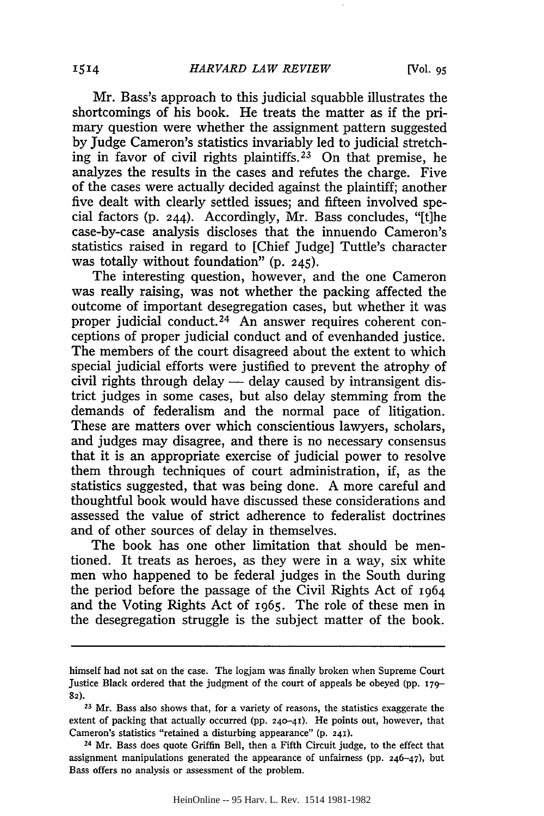Mr. Bass's approach to this judicial squabble illustrates the shortcomings of his book. He treats the matter as if the primary question were whether the assignment pattern suggested by Judge Cameron's statistics invariably led to judicial stretching in favor of civil rights plaintiffs. 23 On that premise, he analyzes the results in the cases and refutes the charge. Five of the cases were actually decided against the plaintiff; another five dealt with clearly settled issues; and fifteen involved special factors (p. 244). Accordingly, Mr. Bass concludes, "[t]he case-by-case analysis discloses that the innuendo Cameron's statistics raised in regard to [Chief Judge] Tuttle's character was totally without foundation" (p. 245).

The interesting question, however, and the one Cameron was really raising, was not whether the packing affected the outcome of important desegregation cases, but whether it was proper judicial conduct.<sup>24</sup> An answer requires coherent conceptions of proper judicial conduct and of evenhanded justice. The members of the court disagreed about the extent to which special judicial efforts were justified to prevent the atrophy of civil rights through delay  $-$  delay caused by intransigent district judges in some cases, but also delay stemming from the demands of federalism and the normal pace of litigation. These are matters over which conscientious lawyers, scholars, and judges may disagree, and there is no necessary consensus that it is an appropriate exercise of judicial power to resolve them through techniques of court administration, if, as the statistics suggested, that was being done. A more careful and thoughtful book would have discussed these considerations and assessed the value of strict adherence to federalist doctrines and of other sources of delay in themselves.

The book has one other limitation that should be mentioned. It treats as heroes, as they were in a way, six white men who happened to be federal judges in the South during the period before the passage of the Civil Rights Act of 1964 and the Voting Rights Act of 1965. The role of these men in the desegregation struggle is the subject matter of the book.

himself had not sat on the case. The logjam was finally broken when Supreme Court Justice Black ordered that the judgment of the court of appeals be obeyed (pp. **i79- 82).**

**<sup>23</sup>**Mr. Bass also shows that, for a variety of reasons, the statistics exaggerate the extent of packing that actually occurred **(pp. 240-41).** He points out, however, that Cameron's statistics "retained a disturbing appearance" (p. **24X).**

**<sup>24</sup>**Mr. Bass does quote Griffin Bell, then a Fifth Circuit judge, to the effect that assignment manipulations generated the appearance of unfairness **(pp.** 246-47), but Bass offers no analysis or assessment of the problem.